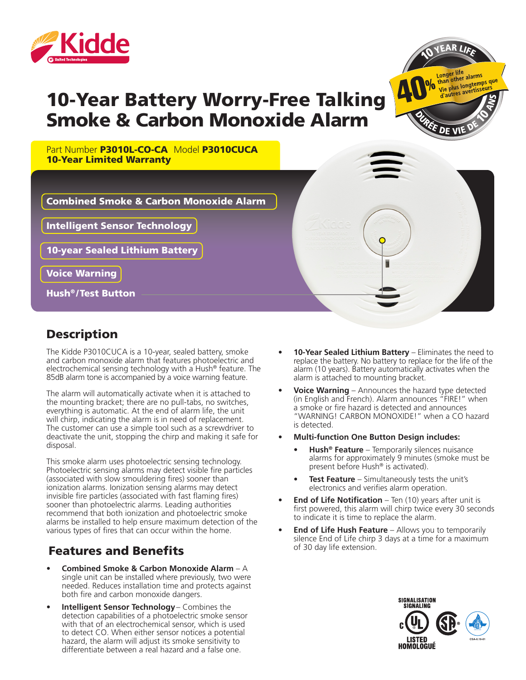

# 10-Year Battery Worry-Free Talking Smoke & Carbon Monoxide Alarm



Part Number P3010L-CO-CA Model P3010CUCA 10-Year Limited Warranty



Intelligent Sensor Technology

10-year Sealed Lithium Battery

Voice Warning

Hush® /Test Button

#### **Description**

The Kidde P3010CUCA is a 10-year, sealed battery, smoke and carbon monoxide alarm that features photoelectric and electrochemical sensing technology with a Hush® feature. The 85dB alarm tone is accompanied by a voice warning feature.

The alarm will automatically activate when it is attached to the mounting bracket; there are no pull-tabs, no switches, everything is automatic. At the end of alarm life, the unit will chirp, indicating the alarm is in need of replacement. The customer can use a simple tool such as a screwdriver to deactivate the unit, stopping the chirp and making it safe for disposal.

This smoke alarm uses photoelectric sensing technology. Photoelectric sensing alarms may detect visible fire particles (associated with slow smouldering fires) sooner than ionization alarms. Ionization sensing alarms may detect invisible fire particles (associated with fast flaming fires) sooner than photoelectric alarms. Leading authorities recommend that both ionization and photoelectric smoke alarms be installed to help ensure maximum detection of the various types of fires that can occur within the home.

### Features and Benefits

- **• Combined Smoke & Carbon Monoxide Alarm** A single unit can be installed where previously, two were needed. Reduces installation time and protects against both fire and carbon monoxide dangers.
- **• Intelligent Sensor Technology** Combines the detection capabilities of a photoelectric smoke sensor with that of an electrochemical sensor, which is used to detect CO. When either sensor notices a potential hazard, the alarm will adjust its smoke sensitivity to differentiate between a real hazard and a false one.
- **• 10-Year Sealed Lithium Battery** Eliminates the need to replace the battery. No battery to replace for the life of the alarm (10 years). Battery automatically activates when the alarm is attached to mounting bracket.
- **• Voice Warning** Announces the hazard type detected (in English and French). Alarm announces "FIRE!" when a smoke or fire hazard is detected and announces "WARNING! CARBON MONOXIDE!" when a CO hazard is detected.
- **• Multi-function One Button Design includes:**
	- **• Hush® Feature** Temporarily silences nuisance alarms for approximately 9 minutes (smoke must be present before Hush<sup>®</sup> is activated).
	- **Test Feature** Simultaneously tests the unit's electronics and verifies alarm operation.
- **End of Life Notification** Ten (10) years after unit is first powered, this alarm will chirp twice every 30 seconds to indicate it is time to replace the alarm.
- **End of Life Hush Feature** Allows you to temporarily silence End of Life chirp 3 days at a time for a maximum of 30 day life extension.